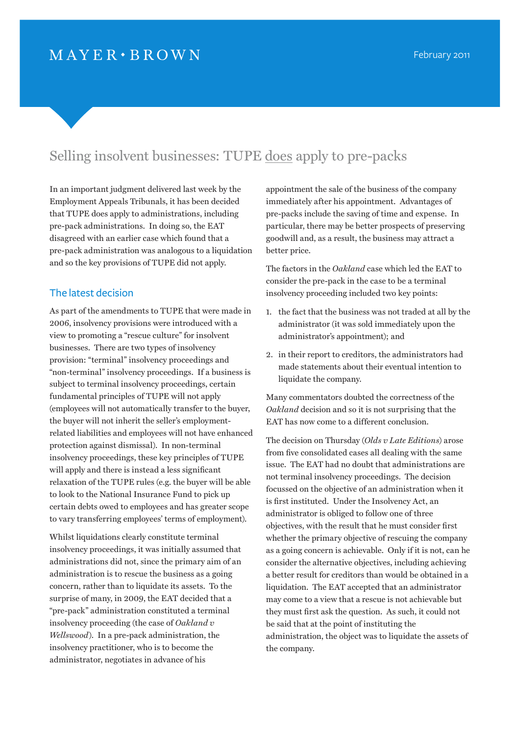# Selling insolvent businesses: TUPE does apply to pre-packs

In an important judgment delivered last week by the Employment Appeals Tribunals, it has been decided that TUPE does apply to administrations, including pre-pack administrations. In doing so, the EAT disagreed with an earlier case which found that a pre-pack administration was analogous to a liquidation and so the key provisions of TUPE did not apply.

## The latest decision

As part of the amendments to TUPE that were made in 2006, insolvency provisions were introduced with a view to promoting a "rescue culture" for insolvent businesses. There are two types of insolvency provision: "terminal" insolvency proceedings and "non-terminal" insolvency proceedings. If a business is subject to terminal insolvency proceedings, certain fundamental principles of TUPE will not apply (employees will not automatically transfer to the buyer, the buyer will not inherit the seller's employmentrelated liabilities and employees will not have enhanced protection against dismissal). In non-terminal insolvency proceedings, these key principles of TUPE will apply and there is instead a less significant relaxation of the TUPE rules (e.g. the buyer will be able to look to the National Insurance Fund to pick up certain debts owed to employees and has greater scope to vary transferring employees' terms of employment).

Whilst liquidations clearly constitute terminal insolvency proceedings, it was initially assumed that administrations did not, since the primary aim of an administration is to rescue the business as a going concern, rather than to liquidate its assets. To the surprise of many, in 2009, the EAT decided that a "pre-pack" administration constituted a terminal insolvency proceeding (the case of *Oakland v Wellswood*). In a pre-pack administration, the insolvency practitioner, who is to become the administrator, negotiates in advance of his

appointment the sale of the business of the company immediately after his appointment. Advantages of pre-packs include the saving of time and expense. In particular, there may be better prospects of preserving goodwill and, as a result, the business may attract a better price.

The factors in the *Oakland* case which led the EAT to consider the pre-pack in the case to be a terminal insolvency proceeding included two key points:

- 1. the fact that the business was not traded at all by the administrator (it was sold immediately upon the administrator's appointment); and
- 2. in their report to creditors, the administrators had made statements about their eventual intention to liquidate the company.

Many commentators doubted the correctness of the *Oakland* decision and so it is not surprising that the EAT has now come to a different conclusion.

The decision on Thursday (*Olds v Late Editions*) arose from five consolidated cases all dealing with the same issue. The EAT had no doubt that administrations are not terminal insolvency proceedings. The decision focussed on the objective of an administration when it is first instituted. Under the Insolvency Act, an administrator is obliged to follow one of three objectives, with the result that he must consider first whether the primary objective of rescuing the company as a going concern is achievable. Only if it is not, can he consider the alternative objectives, including achieving a better result for creditors than would be obtained in a liquidation. The EAT accepted that an administrator may come to a view that a rescue is not achievable but they must first ask the question. As such, it could not be said that at the point of instituting the administration, the object was to liquidate the assets of the company.